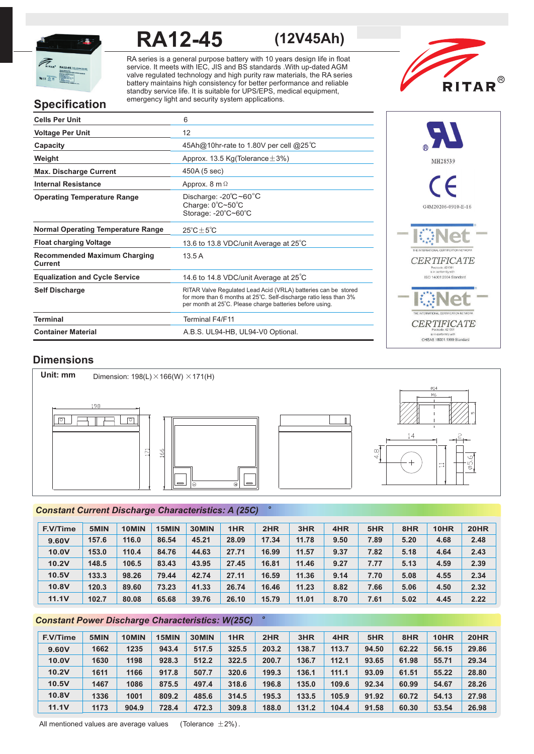

# **RA12-45 (12V45Ah)**

RA series is a general purpose battery with 10 years design life in float service. It meets with IEC, JIS and BS standards .With up-dated AGM valve regulated technology and high purity raw materials, the RA series battery maintains high consistency for better performance and reliable standby service life. It is suitable for UPS/EPS, medical equipment, emergency light and security system applications.



# **Specification**

| <b>Cells Per Unit</b>                          | 6                                                                                                                                                                                               |
|------------------------------------------------|-------------------------------------------------------------------------------------------------------------------------------------------------------------------------------------------------|
| <b>Voltage Per Unit</b>                        | 12                                                                                                                                                                                              |
| Capacity                                       | 45Ah@10hr-rate to 1.80V per cell @25°C                                                                                                                                                          |
| Weight                                         | Approx. 13.5 Kg(Tolerance $\pm$ 3%)                                                                                                                                                             |
| <b>Max. Discharge Current</b>                  | 450A (5 sec)                                                                                                                                                                                    |
| <b>Internal Resistance</b>                     | Approx. $8 \text{ m } \Omega$                                                                                                                                                                   |
| <b>Operating Temperature Range</b>             | Discharge: $-20^{\circ}$ C ~60 $^{\circ}$ C<br>Charge: 0°C~50°C<br>Storage: -20°C~60°C                                                                                                          |
| <b>Normal Operating Temperature Range</b>      | $25^{\circ}$ C + $5^{\circ}$ C                                                                                                                                                                  |
| <b>Float charging Voltage</b>                  | 13.6 to 13.8 VDC/unit Average at 25°C                                                                                                                                                           |
| <b>Recommended Maximum Charging</b><br>Current | 13.5A                                                                                                                                                                                           |
| <b>Equalization and Cycle Service</b>          | 14.6 to 14.8 VDC/unit Average at 25°C                                                                                                                                                           |
| <b>Self Discharge</b>                          | RITAR Valve Regulated Lead Acid (VRLA) batteries can be stored<br>for more than 6 months at 25°C. Self-discharge ratio less than 3%<br>per month at 25°C. Please charge batteries before using. |
| Terminal                                       | Terminal F4/F11                                                                                                                                                                                 |
| <b>Container Material</b>                      | A.B.S. UL94-HB, UL94-V0 Optional.                                                                                                                                                               |



# **Dimensions**



# *<sup>o</sup> Constant Current Discharge Characteristics: A (25C)*

| F.V/Time | 5MIN  | 10MIN | 15MIN | 30MIN | 1HR   | 2HR   | 3HR   | 4HR  | 5HR  | 8HR  | 10HR | 20HR |
|----------|-------|-------|-------|-------|-------|-------|-------|------|------|------|------|------|
| 9.60V    | 157.6 | 116.0 | 86.54 | 45.21 | 28.09 | 17.34 | 11.78 | 9.50 | 7.89 | 5.20 | 4.68 | 2.48 |
| 10.0V    | 153.0 | 110.4 | 84.76 | 44.63 | 27.71 | 16.99 | 11.57 | 9.37 | 7.82 | 5.18 | 4.64 | 2.43 |
| 10.2V    | 148.5 | 106.5 | 83.43 | 43.95 | 27.45 | 16.81 | 11.46 | 9.27 | 7.77 | 5.13 | 4.59 | 2.39 |
| 10.5V    | 133.3 | 98.26 | 79.44 | 42.74 | 27.11 | 16.59 | 11.36 | 9.14 | 7.70 | 5.08 | 4.55 | 2.34 |
| 10.8V    | 120.3 | 89.60 | 73.23 | 41.33 | 26.74 | 16.46 | 11.23 | 8.82 | 7.66 | 5.06 | 4.50 | 2.32 |
| 11.1V    | 102.7 | 80.08 | 65.68 | 39.76 | 26.10 | 15.79 | 11.01 | 8.70 | 7.61 | 5.02 | 4.45 | 2.22 |

# **Constant Power Discharge Characteristics: W(25C)**

| <b>F.V/Time</b> | 5MIN | 10MIN | 15MIN | 30MIN | 1HR   | 2HR   | 3HR   | 4HR   | 5HR   | 8HR   | 10HR  | <b>20HR</b> |
|-----------------|------|-------|-------|-------|-------|-------|-------|-------|-------|-------|-------|-------------|
| 9.60V           | 1662 | 1235  | 943.4 | 517.5 | 325.5 | 203.2 | 138.7 | 113.7 | 94.50 | 62.22 | 56.15 | 29.86       |
| 10.0V           | 1630 | 1198  | 928.3 | 512.2 | 322.5 | 200.7 | 136.7 | 112.1 | 93.65 | 61.98 | 55.71 | 29.34       |
| 10.2V           | 1611 | 1166  | 917.8 | 507.7 | 320.6 | 199.3 | 136.1 | 111.1 | 93.09 | 61.51 | 55.22 | 28.80       |
| 10.5V           | 1467 | 1086  | 875.5 | 497.4 | 318.6 | 196.8 | 135.0 | 109.6 | 92.34 | 60.99 | 54.67 | 28.26       |
| 10.8V           | 1336 | 1001  | 809.2 | 485.6 | 314.5 | 195.3 | 133.5 | 105.9 | 91.92 | 60.72 | 54.13 | 27.98       |
| <b>11.1V</b>    | 1173 | 904.9 | 728.4 | 472.3 | 309.8 | 188.0 | 131.2 | 104.4 | 91.58 | 60.30 | 53.54 | 26.98       |

All mentioned values are average values (Tolerance  $\pm 2\%$ ).